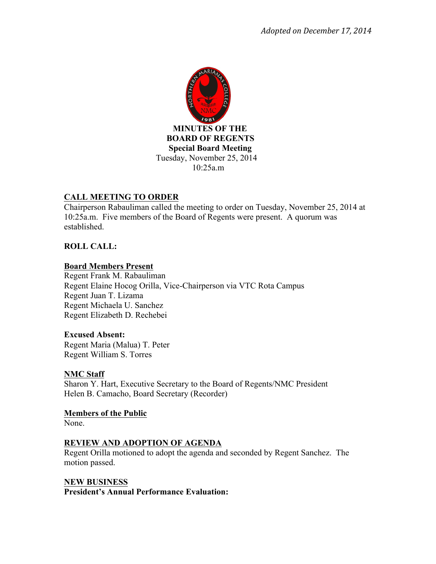

# **CALL MEETING TO ORDER**

Chairperson Rabauliman called the meeting to order on Tuesday, November 25, 2014 at 10:25a.m. Five members of the Board of Regents were present. A quorum was established.

# **ROLL CALL:**

## **Board Members Present**

Regent Frank M. Rabauliman Regent Elaine Hocog Orilla, Vice-Chairperson via VTC Rota Campus Regent Juan T. Lizama Regent Michaela U. Sanchez Regent Elizabeth D. Rechebei

#### **Excused Absent:**

Regent Maria (Malua) T. Peter Regent William S. Torres

## **NMC Staff**

Sharon Y. Hart, Executive Secretary to the Board of Regents/NMC President Helen B. Camacho, Board Secretary (Recorder)

**Members of the Public** None.

# **REVIEW AND ADOPTION OF AGENDA**

Regent Orilla motioned to adopt the agenda and seconded by Regent Sanchez. The motion passed.

## **NEW BUSINESS**

**President's Annual Performance Evaluation:**